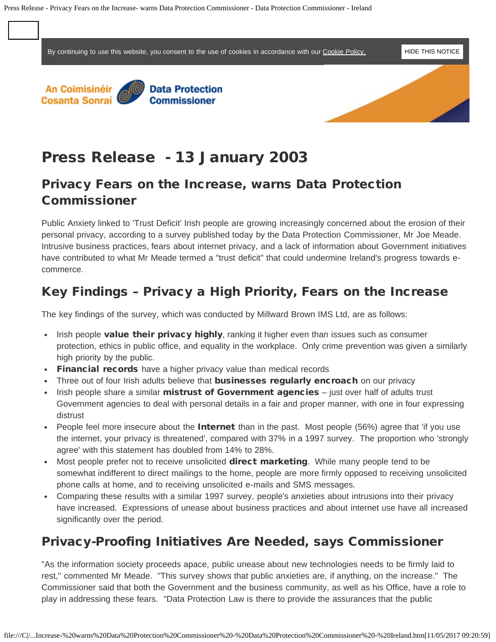<span id="page-0-0"></span>By continuing to use this website, you consent to the use of cookies in accordance with our [Cookie Policy.](file:///docs/Cookie-Policy/1415.htm) [HIDE THIS NOTICE](#page-0-0)



# Press Release - 13 January 2003

# Privacy Fears on the Increase, warns Data Protection Commissioner

Public Anxiety linked to 'Trust Deficit' Irish people are growing increasingly concerned about the erosion of their personal privacy, according to a survey published today by the Data Protection Commissioner, Mr Joe Meade. Intrusive business practices, fears about internet privacy, and a lack of information about Government initiatives have contributed to what Mr Meade termed a "trust deficit" that could undermine Ireland's progress towards ecommerce.

# Key Findings – Privacy a High Priority, Fears on the Increase

The key findings of the survey, which was conducted by Millward Brown IMS Ltd, are as follows:

- Irish people value their privacy highly, ranking it higher even than issues such as consumer protection, ethics in public office, and equality in the workplace. Only crime prevention was given a similarly high priority by the public.
- Financial records have a higher privacy value than medical records
- Three out of four Irish adults believe that **businesses regularly encroach** on our privacy
- Irish people share a similar mistrust of Government agencies just over half of adults trust Government agencies to deal with personal details in a fair and proper manner, with one in four expressing distrust
- People feel more insecure about the **Internet** than in the past. Most people (56%) agree that 'if you use the internet, your privacy is threatened', compared with 37% in a 1997 survey. The proportion who 'strongly agree' with this statement has doubled from 14% to 28%.
- Most people prefer not to receive unsolicited **direct marketing**. While many people tend to be somewhat indifferent to direct mailings to the home, people are more firmly opposed to receiving unsolicited phone calls at home, and to receiving unsolicited e-mails and SMS messages.
- Comparing these results with a similar 1997 survey, people's anxieties about intrusions into their privacy have increased. Expressions of unease about business practices and about internet use have all increased significantly over the period.

# Privacy-Proofing Initiatives Are Needed, says Commissioner

"As the information society proceeds apace, public unease about new technologies needs to be firmly laid to rest," commented Mr Meade. "This survey shows that public anxieties are, if anything, on the increase." The Commissioner said that both the Government and the business community, as well as his Office, have a role to play in addressing these fears. "Data Protection Law is there to provide the assurances that the public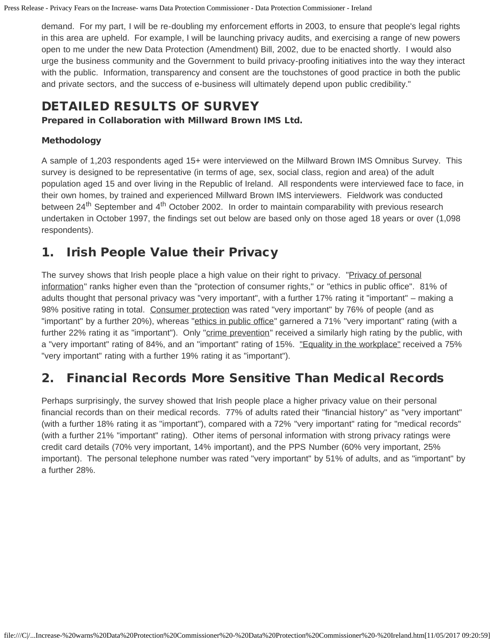Press Release - Privacy Fears on the Increase- warns Data Protection Commissioner - Data Protection Commissioner - Ireland

demand. For my part, I will be re-doubling my enforcement efforts in 2003, to ensure that people's legal rights in this area are upheld. For example, I will be launching privacy audits, and exercising a range of new powers open to me under the new Data Protection (Amendment) Bill, 2002, due to be enacted shortly. I would also urge the business community and the Government to build privacy-proofing initiatives into the way they interact with the public. Information, transparency and consent are the touchstones of good practice in both the public and private sectors, and the success of e-business will ultimately depend upon public credibility."

### DETAILED RESULTS OF SURVEY

Prepared in Collaboration with Millward Brown IMS Ltd.

#### Methodology

A sample of 1,203 respondents aged 15+ were interviewed on the Millward Brown IMS Omnibus Survey. This survey is designed to be representative (in terms of age, sex, social class, region and area) of the adult population aged 15 and over living in the Republic of Ireland. All respondents were interviewed face to face, in their own homes, by trained and experienced Millward Brown IMS interviewers. Fieldwork was conducted between 24<sup>th</sup> September and 4<sup>th</sup> October 2002. In order to maintain comparability with previous research undertaken in October 1997, the findings set out below are based only on those aged 18 years or over (1,098 respondents).

### 1. Irish People Value their Privacy

The survey shows that Irish people place a high value on their right to privacy. "Privacy of personal information" ranks higher even than the "protection of consumer rights," or "ethics in public office". 81% of adults thought that personal privacy was "very important", with a further 17% rating it "important" – making a 98% positive rating in total. Consumer protection was rated "very important" by 76% of people (and as "important" by a further 20%), whereas "ethics in public office" garnered a 71% "very important" rating (with a further 22% rating it as "important"). Only "crime prevention" received a similarly high rating by the public, with a "very important" rating of 84%, and an "important" rating of 15%. "Equality in the workplace" received a 75% "very important" rating with a further 19% rating it as "important").

# 2. Financial Records More Sensitive Than Medical Records

Perhaps surprisingly, the survey showed that Irish people place a higher privacy value on their personal financial records than on their medical records. 77% of adults rated their "financial history" as "very important" (with a further 18% rating it as "important"), compared with a 72% "very important" rating for "medical records" (with a further 21% "important" rating). Other items of personal information with strong privacy ratings were credit card details (70% very important, 14% important), and the PPS Number (60% very important, 25% important). The personal telephone number was rated "very important" by 51% of adults, and as "important" by a further 28%.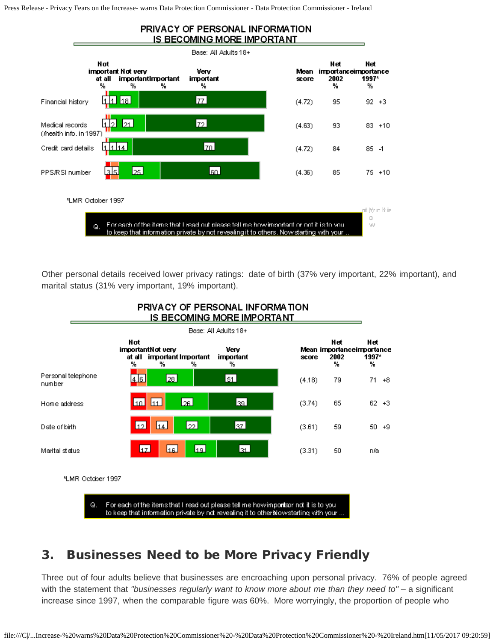Press Release - Privacy Fears on the Increase- warns Data Protection Commissioner - Data Protection Commissioner - Ireland



Other personal details received lower privacy ratings: date of birth (37% very important, 22% important), and marital status (31% very important, 19% important).



#### PRIVACY OF PERSONAL INFORMATION <u>IS BECOMING MORE IMPORTANT</u>

#### 3. Businesses Need to be More Privacy Friendly

Three out of four adults believe that businesses are encroaching upon personal privacy. 76% of people agreed with the statement that *"businesses regularly want to know more about me than they need to"* – a significant increase since 1997, when the comparable figure was 60%. More worryingly, the proportion of people who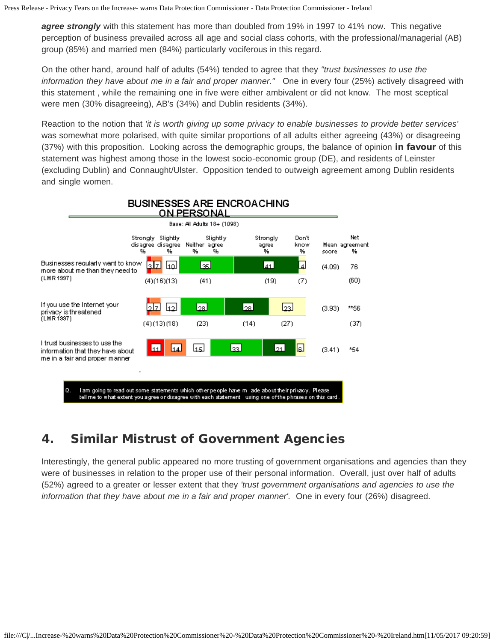*agree strongly* with this statement has more than doubled from 19% in 1997 to 41% now. This negative perception of business prevailed across all age and social class cohorts, with the professional/managerial (AB) group (85%) and married men (84%) particularly vociferous in this regard.

On the other hand, around half of adults (54%) tended to agree that they *"trust businesses to use the information they have about me in a fair and proper manner."* One in every four (25%) actively disagreed with this statement , while the remaining one in five were either ambivalent or did not know. The most sceptical were men (30% disagreeing), AB's (34%) and Dublin residents (34%).

Reaction to the notion that *'it is worth giving up some privacy to enable businesses to provide better services'* was somewhat more polarised, with quite similar proportions of all adults either agreeing (43%) or disagreeing (37%) with this proposition. Looking across the demographic groups, the balance of opinion in favour of this statement was highest among those in the lowest socio-economic group (DE), and residents of Leinster (excluding Dublin) and Connaught/Ulster. Opposition tended to outweigh agreement among Dublin residents and single women.



#### **BUSINESSES ARE ENCROACHING**

# 4. Similar Mistrust of Government Agencies

Interestingly, the general public appeared no more trusting of government organisations and agencies than they were of businesses in relation to the proper use of their personal information. Overall, just over half of adults (52%) agreed to a greater or lesser extent that they *'trust government organisations and agencies to use the information that they have about me in a fair and proper manner'.* One in every four (26%) disagreed.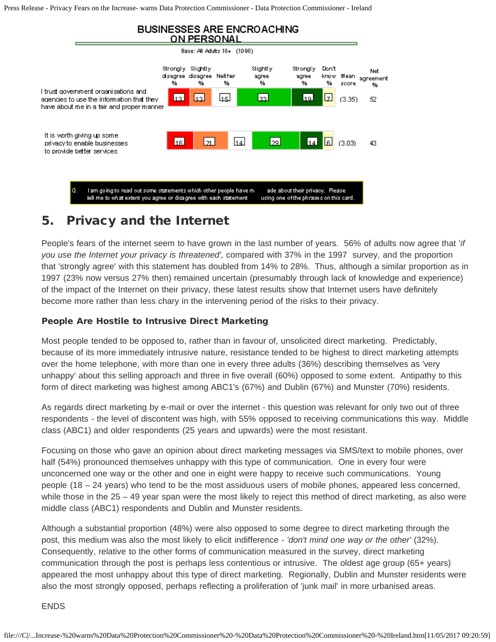Press Release - Privacy Fears on the Increase- warns Data Protection Commissioner - Data Protection Commissioner - Ireland



#### 5. Privacy and the Internet

People's fears of the internet seem to have grown in the last number of years. 56% of adults now agree that '*if you use the Internet your privacy is threatened',* compared with 37% in the 1997 survey, and the proportion that 'strongly agree' with this statement has doubled from 14% to 28%. Thus, although a similar proportion as in 1997 (23% now versus 27% then) remained uncertain (presumably through lack of knowledge and experience) of the impact of the Internet on their privacy, these latest results show that Internet users have definitely become more rather than less chary in the intervening period of the risks to their privacy.

#### People Are Hostile to Intrusive Direct Marketing

Most people tended to be opposed to, rather than in favour of, unsolicited direct marketing. Predictably, because of its more immediately intrusive nature, resistance tended to be highest to direct marketing attempts over the home telephone, with more than one in every three adults (36%) describing themselves as 'very unhappy' about this selling approach and three in five overall (60%) opposed to some extent. Antipathy to this form of direct marketing was highest among ABC1's (67%) and Dublin (67%) and Munster (70%) residents.

As regards direct marketing by e-mail or over the internet - this question was relevant for only two out of three respondents - the level of discontent was high, with 55% opposed to receiving communications this way. Middle class (ABC1) and older respondents (25 years and upwards) were the most resistant.

Focusing on those who gave an opinion about direct marketing messages via SMS/text to mobile phones, over half (54%) pronounced themselves unhappy with this type of communication. One in every four were unconcerned one way or the other and one in eight were happy to receive such communications. Young people (18 – 24 years) who tend to be the most assiduous users of mobile phones, appeared less concerned, while those in the 25 – 49 year span were the most likely to reject this method of direct marketing, as also were middle class (ABC1) respondents and Dublin and Munster residents.

Although a substantial proportion (48%) were also opposed to some degree to direct marketing through the post, this medium was also the most likely to elicit indifference - *'don't mind one way or the other'* (32%). Consequently, relative to the other forms of communication measured in the survey, direct marketing communication through the post is perhaps less contentious or intrusive. The oldest age group (65+ years) appeared the most unhappy about this type of direct marketing. Regionally, Dublin and Munster residents were also the most strongly opposed, perhaps reflecting a proliferation of 'junk mail' in more urbanised areas.

ENDS